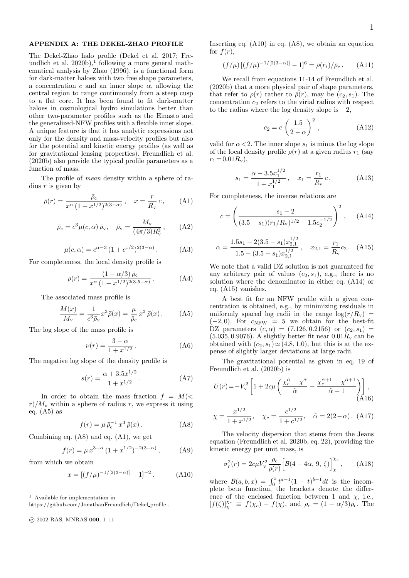# APPENDIX A: THE DEKEL-ZHAO PROFILE

The Dekel-Zhao halo profile (Dekel et al. 2017; Freundlich et al.  $2020b$ ,<sup>1</sup> following a more general mathematical analysis by Zhao (1996), is a functional form for dark-matter haloes with two free shape parameters, a concentration c and an inner slope  $\alpha$ , allowing the central region to range continuously from a steep cusp to a flat core. It has been found to fit dark-matter haloes in cosmological hydro simulations better than other two-parameter profiles such as the Einasto and the generalized-NFW profiles with a flexible inner slope. A unique feature is that it has analytic expressions not only for the density and mass-velocity profiles but also for the potential and kinetic energy profiles (as well as for gravitational lensing properties). Freundlich et al. (2020b) also provide the typical profile parameters as a function of mass.

The profile of mean density within a sphere of radius  $r$  is given by

$$
\bar{\rho}(r) = \frac{\bar{\rho}_c}{x^{\alpha} (1 + x^{1/2})^{2(3-\alpha)}}, \quad x = \frac{r}{R_v} c, \quad (A1)
$$

$$
\bar{\rho}_{c} = c^{3} \mu(c, \alpha) \bar{\rho}_{v}, \quad \bar{\rho}_{v} = \frac{M_{v}}{(4\pi/3)R_{v}^{3}}, \quad (A2)
$$

$$
\mu(c,\alpha) = c^{\alpha-3} (1 + c^{1/2})^{2(3-\alpha)}.
$$
 (A3)

For completeness, the local density profile is

$$
\rho(r) = \frac{(1 - \alpha/3)\,\bar{\rho}_c}{x^{\alpha}\,(1 + x^{1/2})^{2(3.5 - \alpha)}}\,. \tag{A4}
$$

The associated mass profile is

$$
\frac{M(x)}{M_{\rm v}} = \frac{1}{c^3 \bar{\rho}_{\rm v}} x^3 \bar{\rho}(x) = \frac{\mu}{\bar{\rho}_{\rm c}} x^3 \bar{\rho}(x) \,. \tag{A5}
$$

The log slope of the mass profile is

$$
\nu(r) = \frac{3 - \alpha}{1 + x^{1/2}}.
$$
 (A6)

The negative log slope of the density profile is

$$
s(r) = \frac{\alpha + 3.5x^{1/2}}{1 + x^{1/2}}.
$$
 (A7)

In order to obtain the mass fraction  $f = M(<$  $r/M_{\rm v}$  within a sphere of radius r, we express it using eq.  $(A5)$  as

$$
f(r) = \mu \,\bar{\rho}_c^{-1} \, x^3 \, \bar{\rho}(x) \,. \tag{A8}
$$

Combining eq. (A8) and eq. (A1), we get

$$
f(r) = \mu x^{3-\alpha} (1 + x^{1/2})^{-2(3-\alpha)}, \quad (A9)
$$

from which we obtain

$$
x = [(f/\mu)^{-1/[2(3-\alpha)]} - 1]^{-2}.
$$
 (A10)

<sup>1</sup> Available for implementation in

c 2002 RAS, MNRAS 000, 1–11

Inserting eq.  $(A10)$  in eq.  $(A8)$ , we obtain an equation for  $f(r)$ ,

$$
(f/\mu) \left[ (f/\mu)^{-1/[2(3-\alpha)]} - 1 \right]^6 = \bar{\rho}(r_t) / \bar{\rho}_c \,. \tag{A11}
$$

We recall from equations 11-14 of Freundlich et al. (2020b) that a more physical pair of shape parameters, that refer to  $\rho(r)$  rather to  $\bar{\rho}(r)$ , may be  $(c_2, s_1)$ . The concentration  $c_2$  refers to the virial radius with respect to the radius where the log density slope is  $-2$ ,

$$
c_2 = c \left(\frac{1.5}{2 - \alpha}\right)^2, \tag{A12}
$$

valid for  $\alpha < 2$ . The inner slope  $s_1$  is minus the log slope of the local density profile  $\rho(r)$  at a given radius  $r_1$  (say  $r_1 = 0.01 R_{\rm v}$ ,

$$
s_1 = \frac{\alpha + 3.5x_1^{1/2}}{1 + x_1^{1/2}}, \quad x_1 = \frac{r_1}{R_v}c. \tag{A13}
$$

For completeness, the inverse relations are

$$
c = \left(\frac{s_1 - 2}{(3.5 - s_1)(r_1/R_v)^{1/2} - 1.5c_2^{-1/2}}\right)^2, \quad \text{(A14)}
$$

$$
\alpha = \frac{1.5s_1 - 2(3.5 - s_1)x_{2,1}^{1/2}}{1.5 - (3.5 - s_1)x_{2,1}^{1/2}}, \quad x_{2,1} = \frac{r_1}{R_v}c_2. \quad (A15)
$$

We note that a valid DZ solution is not guaranteed for any arbitrary pair of values  $(c_2, s_1)$ , e.g., there is no solution where the denominator in either eq. (A14) or eq. (A15) vanishes.

A best fit for an NFW profile with a given concentration is obtained, e.g., by minimizing residuals in uniformly spaced log radii in the range  $\log(r/R_{\rm v})$  =  $(-2, 0)$ . For  $c_{\text{NFW}} = 5$  we obtain for the best-fit DZ parameters  $(c, \alpha) = (7.126, 0.2156)$  or  $(c_2, s_1) =$  $(5.035, 0.9076)$ . A slightly better fit near  $0.01R<sub>v</sub>$  can be obtained with  $(c_2, s_1) \simeq (4.8, 1.0)$ , but this is at the expense of slightly larger deviations at large radii.

The gravitational potential as given in eq. 19 of Freundlich et al. (2020b) is

$$
U(r) = -V_v^2 \left[ 1 + 2c\mu \left( \frac{\chi_c^{\tilde{\alpha}} - \chi^{\tilde{\alpha}}}{\tilde{\alpha}} - \frac{\chi_c^{\tilde{\alpha}+1} - \chi^{\tilde{\alpha}+1}}{\tilde{\alpha}+1} \right) \right],
$$
\n(A16)

$$
\chi = \frac{x^{1/2}}{1 + x^{1/2}}, \quad \chi_c = \frac{c^{1/2}}{1 + c^{1/2}}, \quad \tilde{\alpha} = 2(2 - \alpha). \text{ (A17)}
$$

The velocity dispersion that stems from the Jeans equation (Freundlich et al. 2020b, eq. 22), providing the kinetic energy per unit mass, is

$$
\sigma_r^2(r) = 2c\mu V_v^2 \frac{\rho_c}{\rho(r)} \Big[ \mathcal{B}(4 - 4\alpha, 9, \zeta) \Big]_{\chi}^{\chi_c}, \quad (A18)
$$

where  $\mathcal{B}(a, b, x) = \int_0^x t^{a-1} (1-t)^{b-1} dt$  is the incomplete beta function, the brackets denote the difference of the enclosed function between 1 and  $\chi$ , i.e.,  $[f(\zeta)]_{\chi}^{X_c} \equiv f(\chi_c) - f(\chi)$ , and  $\rho_c = (1 - \alpha/3)\tilde{\rho}_c$ . The

https://github.com/JonathanFreundlich/Dekel profile .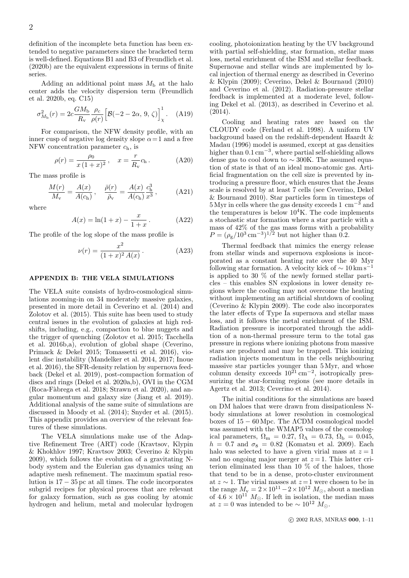definition of the incomplete beta function has been extended to negative parameters since the bracketed term is well-defined. Equations B1 and B3 of Freundlich et al. (2020b) are the equivalent expressions in terms of finite series.

Adding an additional point mass  $M<sub>b</sub>$  at the halo center adds the velocity dispersion term (Freundlich et al. 2020b, eq. C15)

$$
\sigma_{M_{\rm b}}^2(r) = 2c \frac{GM_{\rm b}}{R_{\rm v}} \frac{\rho_c}{\rho(r)} \Big[ \mathcal{B}(-2 - 2\alpha, 9, \zeta) \Big]_x^1. \quad \text{(A19)}
$$

For comparison, the NFW density profile, with an inner cusp of negative log density slope  $\alpha = 1$  and a free NFW concentration parameter  $c_h$ , is

$$
\rho(r) = \frac{\rho_0}{x(1+x)^2}, \quad x = \frac{r}{R_v}c_h.
$$
 (A20)

The mass profile is

$$
\frac{M(r)}{M_{\rm v}} = \frac{A(x)}{A(c_{\rm h})}, \quad \frac{\bar{\rho}(r)}{\bar{\rho}_{\rm v}} = \frac{A(x)}{A(c_{\rm h})} \frac{c_{\rm h}^3}{x^3}, \quad (A21)
$$

where

$$
A(x) = \ln(1+x) - \frac{x}{1+x}.
$$
 (A22)

The profile of the log slope of the mass profile is

$$
\nu(r) = \frac{x^2}{(1+x)^2 A(x)}.
$$
 (A23)

### APPENDIX B: THE VELA SIMULATIONS

The VELA suite consists of hydro-cosmological simulations zooming-in on 34 moderately massive galaxies, presented in more detail in Ceverino et al. (2014) and Zolotov et al. (2015). This suite has been used to study central issues in the evolution of galaxies at high redshifts, including, e.g., compaction to blue nuggets and the trigger of quenching (Zolotov et al. 2015; Tacchella et al. 2016b,a), evolution of global shape (Ceverino, Primack & Dekel 2015; Tomassetti et al. 2016), violent disc instability (Mandelker et al. 2014, 2017; Inoue et al. 2016), the SFR-density relation by supernova feedback (Dekel et al. 2019), post-compaction formation of discs and rings (Dekel et al. 2020a,b), OVI in the CGM (Roca-Fàbrega et al. 2018; Strawn et al. 2020), and angular momentum and galaxy size (Jiang et al. 2019). Additional analysis of the same suite of simulations are discussed in Moody et al. (2014); Snyder et al. (2015). This appendix provides an overview of the relevant features of these simulations.

The VELA simulations make use of the Adaptive Refinement Tree (ART) code (Kravtsov, Klypin & Khokhlov 1997; Kravtsov 2003; Ceverino & Klypin 2009), which follows the evolution of a gravitating Nbody system and the Eulerian gas dynamics using an adaptive mesh refinement. The maximum spatial resolution is 17 − 35 pc at all times. The code incorporates subgrid recipes for physical process that are relevant for galaxy formation, such as gas cooling by atomic hydrogen and helium, metal and molecular hydrogen

cooling, photoionization heating by the UV background with partial self-shielding, star formation, stellar mass loss, metal enrichment of the ISM and stellar feedback. Supernovae and stellar winds are implemented by local injection of thermal energy as described in Ceverino & Klypin (2009); Ceverino, Dekel & Bournaud (2010) and Ceverino et al. (2012). Radiation-pressure stellar feedback is implemented at a moderate level, following Dekel et al. (2013), as described in Ceverino et al.  $(2014).$ 

Cooling and heating rates are based on the CLOUDY code (Ferland et al. 1998). A uniform UV background based on the redshift-dependent Haardt & Madau (1996) model is assumed, except at gas densities higher than 0.1 cm−<sup>3</sup> , where partial self-shielding allows dense gas to cool down to  $\sim$  300K. The assumed equation of state is that of an ideal mono-atomic gas. Artificial fragmentation on the cell size is prevented by introducing a pressure floor, which ensures that the Jeans scale is resolved by at least 7 cells (see Ceverino, Dekel & Bournaud 2010). Star particles form in timesteps of  $5\,\mathrm{Myr}$  in cells where the gas density exceeds 1 cm<sup>-3</sup> and the temperatures is below  $10^4$ K. The code implements a stochastic star formation where a star particle with a mass of 42% of the gas mass forms with a probability  $P = (\rho_{\rm g}/10^3 \,\rm cm^{-3})^{1/2}$  but not higher than 0.2.

Thermal feedback that mimics the energy release from stellar winds and supernova explosions is incorporated as a constant heating rate over the 40 Myr following star formation. A velocity kick of  $\sim 10 \,\mathrm{km \, s}^{-1}$ is applied to 30  $\%$  of the newly formed stellar particles – this enables SN explosions in lower density regions where the cooling may not overcome the heating without implementing an artificial shutdown of cooling (Ceverino & Klypin 2009). The code also incorporates the later effects of Type Ia supernova and stellar mass loss, and it follows the metal enrichment of the ISM. Radiation pressure is incorporated through the addition of a non-thermal pressure term to the total gas pressure in regions where ionizing photons from massive stars are produced and may be trapped. This ionizing radiation injects momentum in the cells neighbouring massive star particles younger than 5 Myr, and whose column density exceeds  $10^{21}$  cm<sup>-2</sup>, isotropically pressurizing the star-forming regions (see more details in Agertz et al. 2013; Ceverino et al. 2014).

The initial conditions for the simulations are based on DM haloes that were drawn from dissipationless Nbody simulations at lower resolution in cosmological boxes of 15 − 60 Mpc. The ΛCDM cosmological model was assumed with the WMAP5 values of the cosmological parameters,  $\Omega_{\rm m} = 0.27, \Omega_{\Lambda} = 0.73, \Omega_{\rm b} = 0.045,$  $h = 0.7$  and  $\sigma_8 = 0.82$  (Komatsu et al. 2009). Each halo was selected to have a given virial mass at  $z = 1$ and no ongoing major merger at  $z = 1$ . This latter criterion eliminated less than 10 % of the haloes, those that tend to be in a dense, proto-cluster environment at  $z \sim 1$ . The virial masses at  $z=1$  were chosen to be in the range  $M_{\rm v} = 2 \times 10^{11} - 2 \times 10^{12} M_{\odot}$ , about a median of  $4.6 \times 10^{11}$   $M_{\odot}$ . If left in isolation, the median mass at  $z = 0$  was intended to be  $\sim 10^{12} M_{\odot}$ .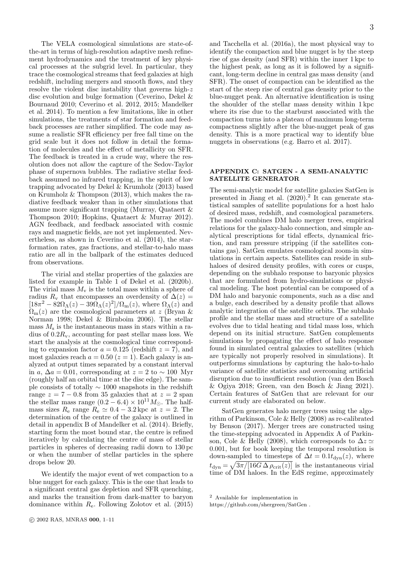The VELA cosmological simulations are state-ofthe-art in terms of high-resolution adaptive mesh refinement hydrodynamics and the treatment of key physical processes at the subgrid level. In particular, they trace the cosmological streams that feed galaxies at high redshift, including mergers and smooth flows, and they resolve the violent disc instability that governs high-z disc evolution and bulge formation (Ceverino, Dekel & Bournaud 2010; Ceverino et al. 2012, 2015; Mandelker et al. 2014). To mention a few limitations, like in other simulations, the treatments of star formation and feedback processes are rather simplified. The code may assume a realistic SFR efficiency per free fall time on the grid scale but it does not follow in detail the formation of molecules and the effect of metallicity on SFR. The feedback is treated in a crude way, where the resolution does not allow the capture of the Sedov-Taylor phase of supernova bubbles. The radiative stellar feedback assumed no infrared trapping, in the spirit of low trapping advocated by Dekel & Krumholz (2013) based on Krumholz & Thompson (2013), which makes the radiative feedback weaker than in other simulations that assume more significant trapping (Murray, Quataert & Thompson 2010; Hopkins, Quataert & Murray 2012). AGN feedback, and feedback associated with cosmic rays and magnetic fields, are not yet implemented. Nevertheless, as shown in Ceverino et al. (2014), the starformation rates, gas fractions, and stellar-to-halo mass ratio are all in the ballpark of the estimates deduced from observations.

The virial and stellar properties of the galaxies are listed for example in Table 1 of Dekel et al. (2020b). The virial mass  $M_{\rm v}$  is the total mass within a sphere of radius  $R_v$  that encompasses an overdensity of  $\Delta(z)$  =  $[18\pi^2 - 82\Omega_\Lambda(z) - 39\Omega_\Lambda(z)^2]/\Omega_\text{m}(z)$ , where  $\Omega_\Lambda(z)$  and  $\Omega_{\rm m}(z)$  are the cosmological parameters at z (Bryan & Norman 1998; Dekel & Birnboim 2006). The stellar mass  $M<sub>s</sub>$  is the instantaneous mass in stars within a radius of  $0.2R_v$ , accounting for past stellar mass loss. We start the analysis at the cosmological time corresponding to expansion factor  $a = 0.125$  (redshift  $z = 7$ ), and most galaxies reach  $a = 0.50$  ( $z = 1$ ). Each galaxy is analyzed at output times separated by a constant interval in a,  $\Delta a = 0.01$ , corresponding at  $z = 2$  to ~ 100 Myr (roughly half an orbital time at the disc edge). The sample consists of totally ∼ 1000 snapshots in the redshift range  $z = 7 - 0.8$  from 35 galaxies that at  $z = 2$  span the stellar mass range  $(0.2 - 6.4) \times 10^{11} M_{\odot}$ . The halfmass sizes  $R_e$  range  $R_e \simeq 0.4 - 3.2$  kpc at  $z = 2$ . The determination of the centre of the galaxy is outlined in detail in appendix B of Mandelker et al. (2014). Briefly, starting form the most bound star, the centre is refined iteratively by calculating the centre of mass of stellar particles in spheres of decreasing radii down to 130 pc or when the number of stellar particles in the sphere drops below 20.

We identify the major event of wet compaction to a blue nugget for each galaxy. This is the one that leads to a significant central gas depletion and SFR quenching, and marks the transition from dark-matter to baryon dominance within  $R_e$ . Following Zolotov et al. (2015)

and Tacchella et al. (2016a), the most physical way to identify the compaction and blue nugget is by the steep rise of gas density (and SFR) within the inner 1 kpc to the highest peak, as long as it is followed by a significant, long-term decline in central gas mass density (and SFR). The onset of compaction can be identified as the start of the steep rise of central gas density prior to the blue-nugget peak. An alternative identification is using the shoulder of the stellar mass density within 1 kpc where its rise due to the starburst associated with the compaction turns into a plateau of maximum long-term compactness slightly after the blue-nugget peak of gas density. This is a more practical way to identify blue nuggets in observations (e.g. Barro et al. 2017).

# APPENDIX C: SATGEN - A SEMI-ANALYTIC SATELLITE GENERATOR

The semi-analytic model for satellite galaxies SatGen is presented in Jiang et al.  $(2020).<sup>2</sup>$  It can generate statistical samples of satellite populations for a host halo of desired mass, redshift, and cosmological parameters. The model combines DM halo merger trees, empirical relations for the galaxy-halo connection, and simple analytical prescriptions for tidal effects, dynamical friction, and ram pressure stripping (if the satellites contains gas). SatGen emulates cosmological zoom-in simulations in certain aspects. Satellites can reside in subhaloes of desired density profiles, with cores or cusps, depending on the subhalo response to baryonic physics that are formulated from hydro-simulations or physical modeling. The host potential can be composed of a DM halo and baryonic components, such as a disc and a bulge, each described by a density profile that allows analytic integration of the satellite orbits. The subhalo profile and the stellar mass and structure of a satellite evolves due to tidal heating and tidal mass loss, which depend on its initial structure. SatGen complements simulations by propagating the effect of halo response found in simulated central galaxies to satellites (which are typically not properly resolved in simulations). It outperforms simulations by capturing the halo-to-halo variance of satellite statistics and overcoming artificial disruption due to insufficient resolution (van den Bosch & Ogiya 2018; Green, van den Bosch & Jiang 2021). Certain features of SatGen that are relevant for our current study are elaborated on below.

SatGen generates halo merger trees using the algorithm of Parkinson, Cole & Helly (2008) as re-calibrated by Benson (2017). Merger trees are constructed using the time-stepping advocated in Appendix A of Parkinson, Cole & Helly (2008), which corresponds to  $\Delta z \simeq$ 0.001, but for book keeping the temporal resolution is down-sampled to timesteps of  $\Delta t = 0.1 t_{\text{dyn}}(z)$ , where  $t_{\rm dyn} = \sqrt{3\pi/[16G\,\Delta\,\rho_{\rm crit}(z)]}$  is the instantaneous virial time of DM haloes. In the EdS regime, approximately

<sup>2</sup> Available for implementation in

https://github.com/shergreen/SatGen .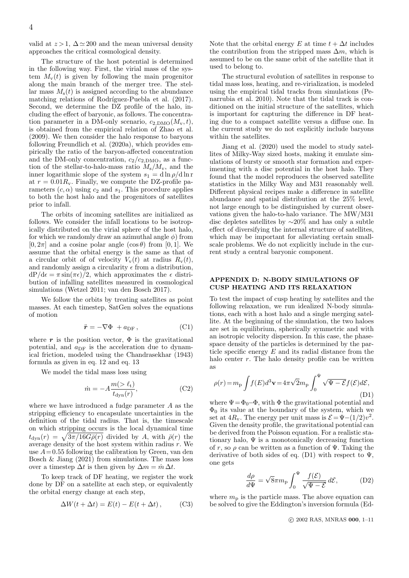valid at  $z > 1$ ,  $\Delta \simeq 200$  and the mean universal density approaches the critical cosmological density.

The structure of the host potential is determined in the following way. First, the virial mass of the system  $M_{\rm v}(t)$  is given by following the main progenitor along the main branch of the merger tree. The stellar mass  $M_s(t)$  is assigned according to the abundance matching relations of Rodríguez-Puebla et al. (2017). Second, we determine the DZ profile of the halo, including the effect of baryonic, as follows. The concentration parameter in a DM-only scenario,  $c_{2,\text{DMO}}(M_{\text{v}}, t)$ , is obtained from the empirical relation of Zhao et al. (2009). We then consider the halo response to baryons following Freundlich et al. (2020a), which provides empirically the ratio of the baryon-affected concentration and the DM-only concentration,  $c_2/c_{2,\text{DMO}}$ , as a function of the stellar-to-halo-mass ratio  $M_s/M_v$ , and the inner logarithmic slope of the system  $s_1 = d \ln \rho / d \ln r$ at  $r = 0.01R_v$ . Finally, we compute the DZ-profile parameters  $(c, \alpha)$  using  $c_2$  and  $s_1$ . This procedure applies to both the host halo and the progenitors of satellites prior to infall.

The orbits of incoming satellites are initialized as follows. We consider the infall locations to be isotropically distributed on the virial sphere of the host halo, for which we randomly draw an azimuthal angle  $\phi$ ) from  $[0, 2\pi]$  and a cosine polar angle  $(\cos \theta)$  from  $[0, 1]$ . We assume that the orbital energy is the same as that of a circular orbit of of velocity  $V_{\rm v}(t)$  at radius  $R_{\rm v}(t)$ , and randomly assign a circularity  $\epsilon$  from a distribution,  $dP/d\epsilon = \pi \sin(\pi \epsilon)/2$ , which approximates the  $\epsilon$  distribution of infalling satellites measured in cosmological simulations (Wetzel 2011; van den Bosch 2017).

We follow the orbits by treating satellites as point masses. At each timestep, SatGen solves the equations of motion

$$
\ddot{\mathbf{r}} = -\nabla \Phi + a_{\text{DF}} ,\qquad \qquad (\text{C1})
$$

where  $r$  is the position vector,  $\Phi$  is the gravitational potential, and  $a_{\text{DF}}$  is the acceleration due to dynamical friction, modeled using the Chandrasekhar (1943) formula as given in eq. 12 and eq. 13

We model the tidal mass loss using

$$
\dot{m} = -A \frac{m(>\ell_{\rm t})}{t_{\rm dyn}(r)},\tag{C2}
$$

where we have introduced a fudge parameter A as the stripping efficiency to encapsulate uncertainties in the definition of the tidal radius. That is, the timescale on which stripping occurs is the local dynamical time  $t_{\text{dyn}}(r) = \sqrt{3\pi/16G\bar{\rho}(r)}$  divided by A, with  $\bar{\rho}(r)$  the average density of the host system within radius  $r$ . We use  $A = 0.55$  following the calibration by Green, van den Bosch & Jiang (2021) from simulations. The mass loss over a timestep  $\Delta t$  is then given by  $\Delta m = \dot{m} \Delta t$ .

To keep track of DF heating, we register the work done by DF on a satellite at each step, or equivalently the orbital energy change at each step,

$$
\Delta W(t + \Delta t) = E(t) - E(t + \Delta t), \quad (C3)
$$

Note that the orbital energy E at time  $t + \Delta t$  includes the contribution from the stripped mass  $\Delta m$ , which is assumed to be on the same orbit of the satellite that it used to belong to.

The structural evolution of satellites in response to tidal mass loss, heating, and re-virialization, is modeled using the empirical tidal tracks from simulations (Penarrubia et al. 2010). Note that the tidal track is conditioned on the initial structure of the satellites, which is important for capturing the difference in DF heating due to a compact satellite versus a diffuse one. In the current study we do not explicitly include baryons within the satellites.

Jiang et al. (2020) used the model to study satellites of Milky-Way sized hosts, making it emulate simulations of bursty or smooth star formation and experimenting with a disc potential in the host halo. They found that the model reproduces the observed satellite statistics in the Milky Way and M31 reasonably well. Different physical recipes make a difference in satellite abundance and spatial distribution at the 25% level, not large enough to be distinguished by current observations given the halo-to-halo variance. The MW/M31 disc depletes satellites by ∼20% and has only a subtle effect of diversifying the internal structure of satellites, which may be important for alleviating certain smallscale problems. We do not explicitly include in the current study a central baryonic component.

### APPENDIX D: N-BODY SIMULATIONS OF CUSP HEATING AND ITS RELAXATION

To test the impact of cusp heating by satellites and the following relaxation, we run idealized N-body simulations, each with a host halo and a single merging satellite. At the beginning of the simulation, the two haloes are set in equilibrium, spherically symmetric and with an isotropic velocity dispersion. In this case, the phasespace density of the particles is determined by the particle specific energy  $E$  and its radial distance from the halo center  $r$ . The halo density profile can be written as

$$
\rho(r) = m_{\rm p} \int f(E) d^3 \mathbf{v} = 4\pi \sqrt{2} m_{\rm p} \int_0^{\Psi} \sqrt{\Psi - \mathcal{E}} f(\mathcal{E}) d\mathcal{E},\tag{D1}
$$

where  $\Psi = \Phi_0 - \Phi$ , with  $\Phi$  the gravitational potential and  $\Phi_0$  its value at the boundary of the system, which we set at  $4R_v$ . The energy per unit mass is  $\mathcal{E} = \Psi - (1/2)v^2$ . Given the density profile, the gravitational potential can be derived from the Poisson equation. For a realistic stationary halo,  $\Psi$  is a monotonically decreasing function of r, so  $\rho$  can be written as a function of  $\Psi$ . Taking the derivative of both sides of eq. (D1) with respect to  $\Psi$ , one gets

$$
\frac{d\rho}{d\Psi} = \sqrt{8}\pi m_{\rm p} \int_0^{\Psi} \frac{f(\mathcal{E})}{\sqrt{\Psi - \mathcal{E}}} d\mathcal{E},\tag{D2}
$$

where  $m_p$  is the particle mass. The above equation can be solved to give the Eddington's inversion formula (Ed-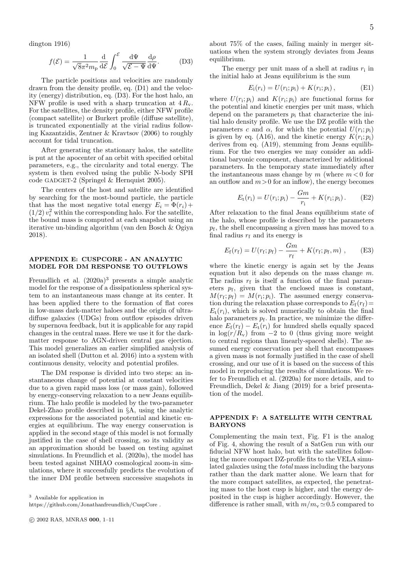dington 1916)

$$
f(\mathcal{E}) = \frac{1}{\sqrt{8}\pi^2 m_\text{p}} \frac{\mathrm{d}}{\mathrm{d}\mathcal{E}} \int_0^\mathcal{E} \frac{\mathrm{d}\Psi}{\sqrt{\mathcal{E} - \Psi}} \frac{\mathrm{d}\rho}{\mathrm{d}\Psi}.
$$
 (D3)

The particle positions and velocities are randomly drawn from the density profile, eq. (D1) and the velocity (energy) distribution, eq. (D3). For the host halo, an NFW profile is used with a sharp truncation at  $4 R_v$ . For the satellites, the density profile, either NFW profile (compact satellite) or Burkert profile (diffuse satellite), is truncated exponentially at the virial radius following Kazantzidis, Zentner & Kravtsov (2006) to roughly account for tidal truncation.

After generating the stationary halos, the satellite is put at the apocenter of an orbit with specified orbital parameters, e.g., the circularity and total energy. The system is then evolved using the public N-body SPH code GADGET-2 (Springel & Hernquist 2005).

The centers of the host and satellite are identified by searching for the most-bound particle, the particle that has the most negative total energy  $E_i = \Phi(r_i) +$  $(1/2) v_i^2$  within the corresponding halo. For the satellite, the bound mass is computed at each snapshot using an iterative un-binding algorithm (van den Bosch & Ogiya 2018).

#### APPENDIX E: CUSPCORE - AN ANALYTIC MODEL FOR DM RESPONSE TO OUTFLOWS

Freundlich et al.  $(2020a)^3$  presents a simple analytic model for the response of a dissipationless spherical system to an instantaneous mass change at its center. It has been applied there to the formation of flat cores in low-mass dark-matter haloes and the origin of ultradiffuse galaxies (UDGs) from outflow episodes driven by supernova feedback, but it is applicable for any rapid changes in the central mass. Here we use it for the darkmatter response to AGN-driven central gas ejection. This model generalizes an earlier simplified analysis of an isolated shell (Dutton et al. 2016) into a system with continuous density, velocity and potential profiles.

The DM response is divided into two steps: an instantaneous change of potential at constant velocities due to a given rapid mass loss (or mass gain), followed by energy-conserving relaxation to a new Jeans equilibrium. The halo profile is modeled by the two-parameter Dekel-Zhao profile described in §A, using the analytic expressions for the associated potential and kinetic energies at equilibrium. The way energy conservation is applied in the second stage of this model is not formally justified in the case of shell crossing, so its validity as an approximation should be based on testing against simulations. In Freundlich et al. (2020a), the model has been tested against NIHAO cosmological zoom-in simulations, where it successfully predicts the evolution of the inner DM profile between successive snapshots in

<sup>3</sup> Available for application in

https://github.com/Jonathanfreundlich/CuspCore .

about 75% of the cases, failing mainly in merger situations when the system strongly deviates from Jeans equilibrium.

The energy per unit mass of a shell at radius  $r_i$  in the initial halo at Jeans equilibrium is the sum

$$
E_{i}(r_{i}) = U(r_{i}; p_{i}) + K(r_{i}; p_{i}), \qquad (E1)
$$

where  $U(r_i; p_i)$  and  $K(r_i; p_i)$  are functional forms for the potential and kinetic energies per unit mass, which depend on the parameters  $p_i$  that characterize the initial halo density profile. We use the DZ profile with the parameters c and  $\alpha$ , for which the potential  $U(r_i; p_i)$ is given by eq. (A16), and the kinetic energy  $K(r_i; p_i)$ derives from eq. (A19), stemming from Jeans equilibrium. For the two energies we may consider an additional baryonic component, characterized by additional parameters. In the temporary state immediately after the instantaneous mass change by  $m$  (where  $m < 0$  for an outflow and  $m>0$  for an inflow), the energy becomes

$$
E_{\rm t}(r_{\rm i}) = U(r_{\rm i}; p_{\rm i}) - \frac{Gm}{r_{\rm i}} + K(r_{\rm i}; p_{\rm i}). \tag{E2}
$$

After relaxation to the final Jeans equilibrium state of the halo, whose profile is described by the parameters pf , the shell encompassing a given mass has moved to a final radius  $r_f$  and its energy is

$$
E_{\rm f}(r_{\rm f}) = U(r_{\rm f}; p_{\rm f}) - \frac{Gm}{r_{\rm f}} + K(r_{\rm f}; p_{\rm f}, m) , \qquad (E3)
$$

where the kinetic energy is again set by the Jeans equation but it also depends on the mass change  $m$ . The radius  $r_f$  is itself a function of the final parameters  $p_f$ , given that the enclosed mass is constant,  $M(r_f; p_f) = M(r_i; p_i)$ . The assumed energy conservation during the relaxation phase corresponds to  $E_f(r_f)$ =  $E_t(r_i)$ , which is solved numerically to obtain the final halo parameters  $p_f$ . In practice, we minimize the difference  $E_f(r_f) - E_t(r_i)$  for hundred shells equally spaced in  $\log(r/R_v)$  from  $-2$  to 0 (thus giving more weight to central regions than linearly-spaced shells). The assumed energy conservation per shell that encompasses a given mass is not formally justified in the case of shell crossing, and our use of it is based on the success of this model in reproducing the results of simulations. We refer to Freundlich et al. (2020a) for more details, and to Freundlich, Dekel & Jiang (2019) for a brief presentation of the model.

# APPENDIX F: A SATELLITE WITH CENTRAL BARYONS

Complementing the main text, Fig. F1 is the analog of Fig. 4, showing the result of a SatGen run with our fiducial NFW host halo, but with the satellites following the more compact DZ-profile fits to the VELA simulated galaxies using the total mass including the baryons rather than the dark matter alone. We learn that for the more compact satellites, as expected, the penetrating mass to the host cusp is higher, and the energy deposited in the cusp is higher accordingly. However, the difference is rather small, with  $m/m_v \simeq 0.5$  compared to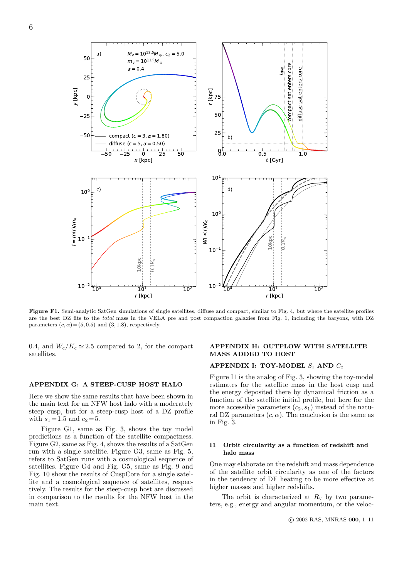

Figure F1. Semi-analytic SatGen simulations of single satellites, diffuse and compact, similar to Fig. 4, but where the satellite profiles are the best DZ fits to the total mass in the VELA pre and post compaction galaxies from Fig. 1, including the baryons, with DZ parameters  $(c, \alpha) = (5, 0.5)$  and  $(3, 1.8)$ , respectively.

0.4, and  $W_c/K_c \simeq 2.5$  compared to 2, for the compact satellites.

### APPENDIX G: A STEEP-CUSP HOST HALO

Here we show the same results that have been shown in the main text for an NFW host halo with a moderately steep cusp, but for a steep-cusp host of a DZ profile with  $s_1 = 1.5$  and  $c_2 = 5$ .

Figure G1, same as Fig. 3, shows the toy model predictions as a function of the satellite compactness. Figure G2, same as Fig. 4, shows the results of a SatGen run with a single satellite. Figure G3, same as Fig. 5, refers to SatGen runs with a cosmological sequence of satellites. Figure G4 and Fig. G5, same as Fig. 9 and Fig. 10 show the results of CuspCore for a single satellite and a cosmological sequence of satellites, respectively. The results for the steep-cusp host are discussed in comparison to the results for the NFW host in the main text.

# APPENDIX H: OUTFLOW WITH SATELLITE MASS ADDED TO HOST

## APPENDIX I: TOY-MODEL  $S_1$  AND  $C_2$

Figure I1 is the analog of Fig. 3, showing the toy-model estimates for the satellite mass in the host cusp and the energy deposited there by dynamical friction as a function of the satellite initial profile, but here for the more accessible parameters  $(c_2, s_1)$  instead of the natural DZ parameters  $(c, \alpha)$ . The conclusion is the same as in Fig. 3.

### I1 Orbit circularity as a function of redshift and halo mass

One may elaborate on the redshift and mass dependence of the satellite orbit circularity as one of the factors in the tendency of DF heating to be more effective at higher masses and higher redshifts.

The orbit is characterized at  $R_v$  by two parameters, e.g., energy and angular momentum, or the veloc-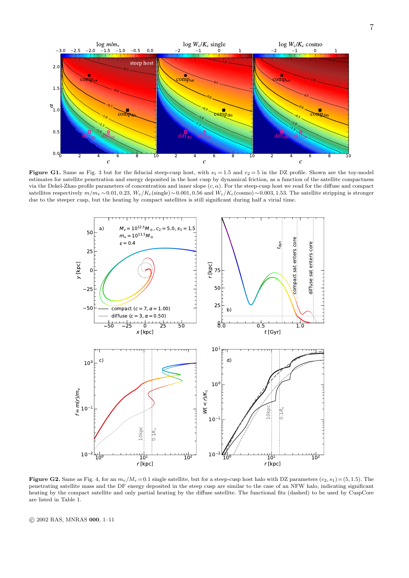

Figure G1. Same as Fig. 3 but for the fiducial steep-cusp host, with  $s_1 = 1.5$  and  $c_2 = 5$  in the DZ profile. Shown are the toy-model estimates for satellite penetration and energy deposited in the host cusp by dynamical friction, as a function of the satellite compactness via the Dekel-Zhao profile parameters of concentration and inner slope  $(c, \alpha)$ . For the steep-cusp host we read for the diffuse and compact satellites respectively  $m/m_v \sim 0.01, 0.23, W_c/K_c$  (single) ~0.001, 0.56 and  $W_c/K_c$  (cosmo) ~0.003, 1.53. The satellite stripping is stronger due to the steeper cusp, but the heating by compact satellites is still significant during half a virial time.



Figure G2. Same as Fig. 4, for an  $m_v/M_v = 0.1$  single satellite, but for a steep-cusp host halo with DZ parameters  $(c_2, s_1) = (5, 1.5)$ . The penetrating satellite mass and the DF energy deposited in the steep cusp are similar to the case of an NFW halo, indicating significant heating by the compact satellite and only partial heating by the diffuse satellite. The functional fits (dashed) to be used by CuspCore are listed in Table 1.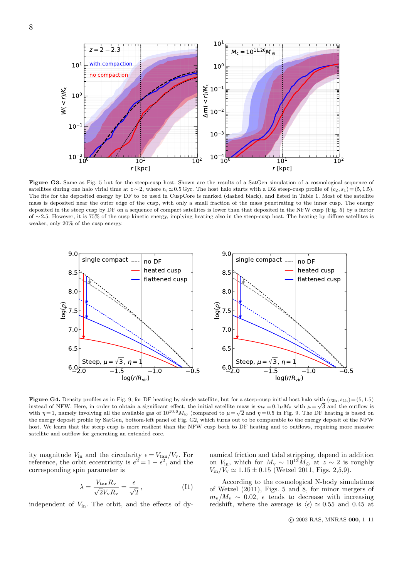

Figure G3. Same as Fig. 5 but for the steep-cusp host. Shown are the results of a SatGen simulation of a cosmological sequence of satellites during one halo virial time at  $z \sim 2$ , where  $t_v \approx 0.5$  Gyr. The host halo starts with a DZ steep-cusp profile of  $(c_2, s_1) = (5, 1.5)$ . The fits for the deposited energy by DF to be used in CuspCore is marked (dashed black), and listed in Table 1. Most of the satellite mass is deposited near the outer edge of the cusp, with only a small fraction of the mass penetrating to the inner cusp. The energy deposited in the steep cusp by DF on a sequence of compact satellites is lower than that deposited in the NFW cusp (Fig. 5) by a factor of ∼ 2.5. However, it is 75% of the cusp kinetic energy, implying heating also in the steep-cusp host. The heating by diffuse satellites is weaker, only 20% of the cusp energy.



**Figure G4.** Density profiles as in Fig. 9, for DF heating by single satellite, but for a steep-cusp initial host halo with  $(c_{2h}, s_{1h}) = (5, 1.5)$ instead of NFW. Here, in order to obtain a significant effect, the initial satellite mass is  $m_v = 0.1 \mu M_v$  with  $\mu = \sqrt{3}$  and the outflow is instead of NFW. Here, in order to obtain a significant effect, the initial satellite mass is  $m_v = 0.1 \mu M_v$  with  $\mu = \sqrt{3}$  and the outhow is<br>with  $\eta = 1$ , namely involving all the available gas of  $10^{10.6} M_{\odot}$  (compar the energy deposit profile by SatGen, bottom-left panel of Fig. G2, which turns out to be comparable to the energy deposit of the NFW host. We learn that the steep cusp is more resilient than the NFW cusp both to DF heating and to outflows, requiring more massive satellite and outflow for generating an extended core.

ity magnitude  $V_{\text{in}}$  and the circularity  $\epsilon = V_{\text{tan}}/V_{\text{v}}$ . For reference, the orbit eccentricity is  $e^2 = 1 - \epsilon^2$ , and the corresponding spin parameter is

$$
\lambda = \frac{V_{\tan} R_{\rm v}}{\sqrt{2} V_{\rm v} R_{\rm v}} = \frac{\epsilon}{\sqrt{2}}\,,\tag{I1}
$$

independent of  $V_{in}$ . The orbit, and the effects of dy-

namical friction and tidal stripping, depend in addition on  $V_{\text{in}}$ , which for  $M_{\text{v}} \sim 10^{12} M_{\odot}$  at  $z \sim 2$  is roughly  $V_{\text{in}}/V_{\text{v}} \simeq 1.15 \pm 0.15$  (Wetzel 2011, Figs. 2,5,9).

According to the cosmological N-body simulations of Wetzel (2011), Figs. 5 and 8, for minor mergers of  $m_v/M_v \sim 0.02$ ,  $\epsilon$  tends to decrease with increasing redshift, where the average is  $\langle \epsilon \rangle \simeq 0.55$  and 0.45 at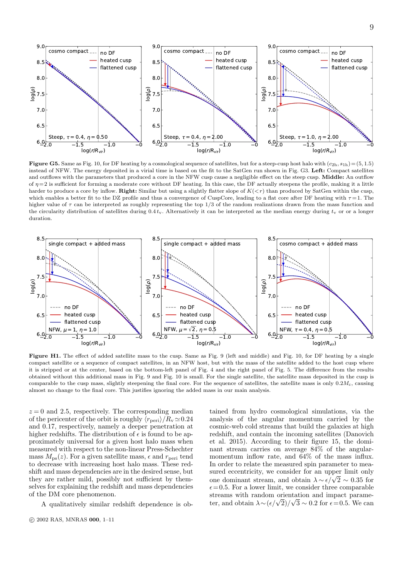9



**Figure G5.** Same as Fig. 10, for DF heating by a cosmological sequence of satellites, but for a steep-cusp host halo with  $(c_{2h}, s_{1h}) = (5, 1.5)$ instead of NFW. The energy deposited in a virial time is based on the fit to the SatGen run shown in Fig. G3. Left: Compact satellites and outflows with the parameters that produced a core in the NFW cusp cause a negligible effect on the steep cusp. Middle: An outflow of  $\eta = 2$  is sufficient for forming a moderate core without DF heating. In this case, the DF actually steepens the profile, making it a little harder to produce a core by inflow. Right: Similar but using a slightly flatter slope of  $K(\langle r \rangle)$  than produced by SatGen within the cusp, which enables a better fit to the DZ profile and thus a convergence of CuspCore, leading to a flat core after DF heating with  $\tau = 1$ . The higher value of  $\tau$  can be interpreted as roughly representing the top 1/3 of the random realizations drawn from the mass function and the circularity distribution of satellites during  $0.4 t_v$ . Alternatively it can be interpreted as the median energy during  $t_v$  or or a longer duration.



Figure H1. The effect of added satellite mass to the cusp. Same as Fig. 9 (left and middle) and Fig. 10, for DF heating by a single compact satellite or a sequence of compact satellites, in an NFW host, but with the mass of the satellite added to the host cusp where it is stripped or at the center, based on the bottom-left panel of Fig. 4 and the right panel of Fig. 5. The difference from the results obtained without this additional mass in Fig. 9 and Fig. 10 is small. For the single satellite, the satellite mass deposited in the cusp is comparable to the cusp mass, slightly steepening the final core. For the sequence of satellites, the satellite mass is only  $0.2M_c$ , causing almost no change to the final core. This justifies ignoring the added mass in our main analysis.

 $z = 0$  and 2.5, respectively. The corresponding median of the pericenter of the orbit is roughly  $\langle r_{\rm peri} \rangle/R_v \simeq 0.24$ and 0.17, respectively, namely a deeper penetration at higher redshifts. The distribution of  $\epsilon$  is found to be approximately universal for a given host halo mass when measured with respect to the non-linear Press-Schechter mass  $M_{\text{ps}}(z)$ . For a given satellite mass,  $\epsilon$  and  $r_{\text{peri}}$  tend to decrease with increasing host halo mass. These redshift and mass dependencies are in the desired sense, but they are rather mild, possibly not sufficient by themselves for explaining the redshift and mass dependencies of the DM core phenomenon.

A qualitatively similar redshift dependence is ob-

c 2002 RAS, MNRAS 000, 1–11

tained from hydro cosmological simulations, via the analysis of the angular momentum carried by the cosmic-web cold streams that build the galaxies at high redshift, and contain the incoming satellites (Danovich et al. 2015). According to their figure 15, the dominant stream carries on average 84% of the angularmomentum inflow rate, and 64% of the mass influx. In order to relate the measured spin parameter to measured eccentricity, we consider for an upper limit only sured eccentricity, we consider for an upper limit only<br>one dominant stream, and obtain  $\lambda \sim \epsilon/\sqrt{2} \sim 0.35$  for  $\epsilon = 0.5$ . For a lower limit, we consider three comparable streams with random orientation and impact paramestreams with random orientation and impact parame-<br>ter, and obtain  $\lambda \sim (\epsilon/\sqrt{2})/\sqrt{3} \sim 0.2$  for  $\epsilon = 0.5$ . We can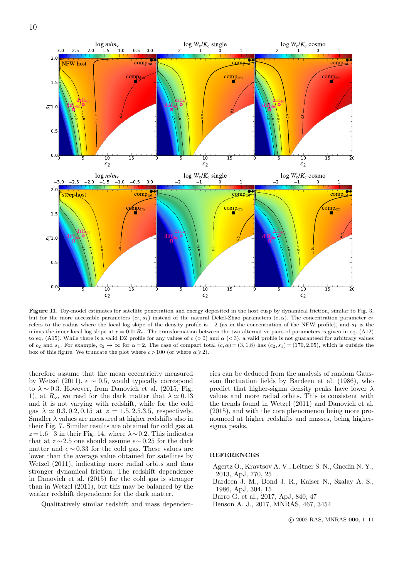

Figure I1. Toy-model estimates for satellite penetration and energy deposited in the host cusp by dynamical friction, similar to Fig. 3, but for the more accessible parameters  $(c_2, s_1)$  instead of the natural Dekel-Zhao parameters  $(c, \alpha)$ . The concentration parameter  $c_2$ refers to the radius where the local log slope of the density profile is  $-2$  (as in the concentration of the NFW profile), and  $s_1$  is the minus the inner local log slope at  $r = 0.01R_v$ . The transformation between the two alternative pairs of parameters is given in eq. (A12) to eq. (A15). While there is a valid DZ profile for any values of  $c (0)$  and  $\alpha (0, 3)$ , a valid profile is not guaranteed for arbitrary values of c<sub>2</sub> and s<sub>1</sub>. For example,  $c_2 \rightarrow \infty$  for  $\alpha = 2$ . The case of compact total  $(c, \alpha) = (3, 1.8)$  has  $(c_2, s_1) = (170, 2.05)$ , which is outside the box of this figure. We truncate the plot where  $c > 100$  (or where  $\alpha \geq 2$ ).

therefore assume that the mean eccentricity measured by Wetzel (2011),  $\epsilon \sim 0.5$ , would typically correspond to  $\lambda \sim 0.3$ . However, from Danovich et al. (2015, Fig. 1), at  $R_v$ , we read for the dark matter that  $\lambda \simeq 0.13$ and it is not varying with redshift, while for the cold gas  $\lambda \approx 0.3, 0.2, 0.15$  at  $z = 1.5, 2.5.3.5$ , respectively. Smaller  $\lambda$  values are measured at higher redshifts also in their Fig. 7. Similar results are obtained for cold gas at  $z=1.6-3$  in their Fig. 14, where  $\lambda \sim 0.2$ . This indicates that at  $z \sim 2.5$  one should assume  $\epsilon \sim 0.25$  for the dark matter and  $\epsilon \sim 0.33$  for the cold gas. These values are lower than the average value obtained for satellites by Wetzel (2011), indicating more radial orbits and thus stronger dynamical friction. The redshift dependence in Danovich et al. (2015) for the cold gas is stronger than in Wetzel (2011), but this may be balanced by the weaker redshift dependence for the dark matter.

Qualitatively similar redshift and mass dependen-

cies can be deduced from the analysis of random Gaussian fluctuation fields by Bardeen et al. (1986), who predict that higher-sigma density peaks have lower  $\lambda$ values and more radial orbits. This is consistent with the trends found in Wetzel (2011) and Danovich et al. (2015), and with the core phenomenon being more pronounced at higher redshifts and masses, being highersigma peaks.

#### **REFERENCES**

- Agertz O., Kravtsov A. V., Leitner S. N., Gnedin N. Y., 2013, ApJ, 770, 25
- Bardeen J. M., Bond J. R., Kaiser N., Szalay A. S., 1986, ApJ, 304, 15
- Barro G. et al., 2017, ApJ, 840, 47
- Benson A. J., 2017, MNRAS, 467, 3454